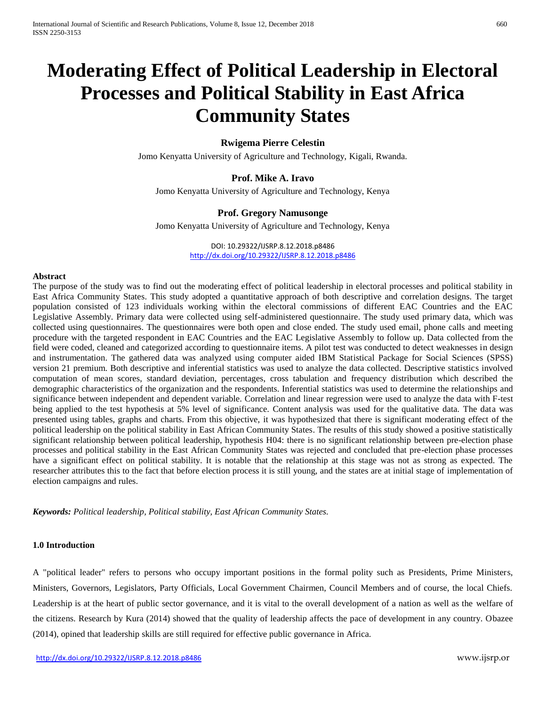# **Moderating Effect of Political Leadership in Electoral Processes and Political Stability in East Africa Community States**

# **Rwigema Pierre Celestin**

Jomo Kenyatta University of Agriculture and Technology, Kigali, Rwanda.

# **Prof. Mike A. Iravo**

Jomo Kenyatta University of Agriculture and Technology, Kenya

# **Prof. Gregory Namusonge**

Jomo Kenyatta University of Agriculture and Technology, Kenya

DOI: 10.29322/IJSRP.8.12.2018.p8486 <http://dx.doi.org/10.29322/IJSRP.8.12.2018.p8486>

#### **Abstract**

The purpose of the study was to find out the moderating effect of political leadership in electoral processes and political stability in East Africa Community States. This study adopted a quantitative approach of both descriptive and correlation designs. The target population consisted of 123 individuals working within the electoral commissions of different EAC Countries and the EAC Legislative Assembly. Primary data were collected using self-administered questionnaire. The study used primary data, which was collected using questionnaires. The questionnaires were both open and close ended. The study used email, phone calls and meeting procedure with the targeted respondent in EAC Countries and the EAC Legislative Assembly to follow up. Data collected from the field were coded, cleaned and categorized according to questionnaire items. A pilot test was conducted to detect weaknesses in design and instrumentation. The gathered data was analyzed using computer aided IBM Statistical Package for Social Sciences (SPSS) version 21 premium. Both descriptive and inferential statistics was used to analyze the data collected. Descriptive statistics involved computation of mean scores, standard deviation, percentages, cross tabulation and frequency distribution which described the demographic characteristics of the organization and the respondents. Inferential statistics was used to determine the relationships and significance between independent and dependent variable. Correlation and linear regression were used to analyze the data with F-test being applied to the test hypothesis at 5% level of significance. Content analysis was used for the qualitative data. The data was presented using tables, graphs and charts. From this objective, it was hypothesized that there is significant moderating effect of the political leadership on the political stability in East African Community States. The results of this study showed a positive statistically significant relationship between political leadership, hypothesis H04: there is no significant relationship between pre-election phase processes and political stability in the East African Community States was rejected and concluded that pre-election phase processes have a significant effect on political stability. It is notable that the relationship at this stage was not as strong as expected. The researcher attributes this to the fact that before election process it is still young, and the states are at initial stage of implementation of election campaigns and rules.

*Keywords: Political leadership, Political stability, East African Community States.*

# **1.0 Introduction**

A "political leader" refers to persons who occupy important positions in the formal polity such as Presidents, Prime Ministers, Ministers, Governors, Legislators, Party Officials, Local Government Chairmen, Council Members and of course, the local Chiefs. Leadership is at the heart of public sector governance, and it is vital to the overall development of a nation as well as the welfare of the citizens. Research by Kura (2014) showed that the quality of leadership affects the pace of development in any country. Obazee (2014), opined that leadership skills are still required for effective public governance in Africa.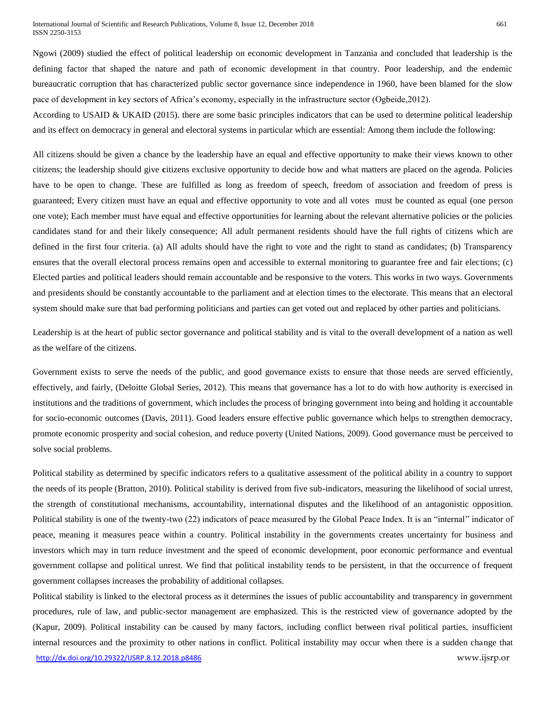Ngowi (2009) studied the effect of political leadership on economic development in Tanzania and concluded that leadership is the defining factor that shaped the nature and path of economic development in that country. Poor leadership, and the endemic bureaucratic corruption that has characterized public sector governance since independence in 1960, have been blamed for the slow pace of development in key sectors of Africa's economy, especially in the infrastructure sector (Ogbeide,2012).

According to USAID & UKAID (2015). there are some basic principles indicators that can be used to determine political leadership and its effect on democracy in general and electoral systems in particular which are essential: Among them include the following:

All citizens should be given a chance by the leadership have an equal and effective opportunity to make their views known to other citizens; the leadership should give **c**itizens exclusive opportunity to decide how and what matters are placed on the agenda. Policies have to be open to change. These are fulfilled as long as freedom of speech, freedom of association and freedom of press is guaranteed; Every citizen must have an equal and effective opportunity to vote and all votes must be counted as equal (one person one vote); Each member must have equal and effective opportunities for learning about the relevant alternative policies or the policies candidates stand for and their likely consequence; All adult permanent residents should have the full rights of citizens which are defined in the first four criteria. (a) All adults should have the right to vote and the right to stand as candidates; (b) Transparency ensures that the overall electoral process remains open and accessible to external monitoring to guarantee free and fair elections; (c) Elected parties and political leaders should remain accountable and be responsive to the voters. This works in two ways. Governments and presidents should be constantly accountable to the parliament and at election times to the electorate. This means that an electoral system should make sure that bad performing politicians and parties can get voted out and replaced by other parties and politicians.

Leadership is at the heart of public sector governance and political stability and is vital to the overall development of a nation as well as the welfare of the citizens.

Government exists to serve the needs of the public, and good governance exists to ensure that those needs are served efficiently, effectively, and fairly, (Deloitte Global Series, 2012). This means that governance has a lot to do with how authority is exercised in institutions and the traditions of government, which includes the process of bringing government into being and holding it accountable for socio-economic outcomes (Davis, 2011). Good leaders ensure effective public governance which helps to strengthen democracy, promote economic prosperity and social cohesion, and reduce poverty (United Nations, 2009). Good governance must be perceived to solve social problems.

Political stability as determined by specific indicators refers to a qualitative assessment of the political ability in a country to support the needs of its people (Bratton, 2010). Political stability is derived from five sub-indicators, measuring the likelihood of social unrest, the strength of constitutional mechanisms, accountability, international disputes and the likelihood of an antagonistic opposition. Political stability is one of the twenty-two (22) indicators of peace measured by the Global Peace Index. It is an "internal" indicator of peace, meaning it measures peace within a country. Political instability in the governments creates uncertainty for business and investors which may in turn reduce investment and the speed of economic development, poor economic performance and eventual government collapse and political unrest. We find that political instability tends to be persistent, in that the occurrence of frequent government collapses increases the probability of additional collapses.

<http://dx.doi.org/10.29322/IJSRP.8.12.2018.p8486> www.ijsrp.or Political stability is linked to the electoral process as it determines the issues of public accountability and transparency in government procedures, rule of law, and public-sector management are emphasized. This is the restricted view of governance adopted by the (Kapur, 2009). Political instability can be caused by many factors, including conflict between rival political parties, insufficient internal resources and the proximity to other nations in conflict. Political instability may occur when there is a sudden change that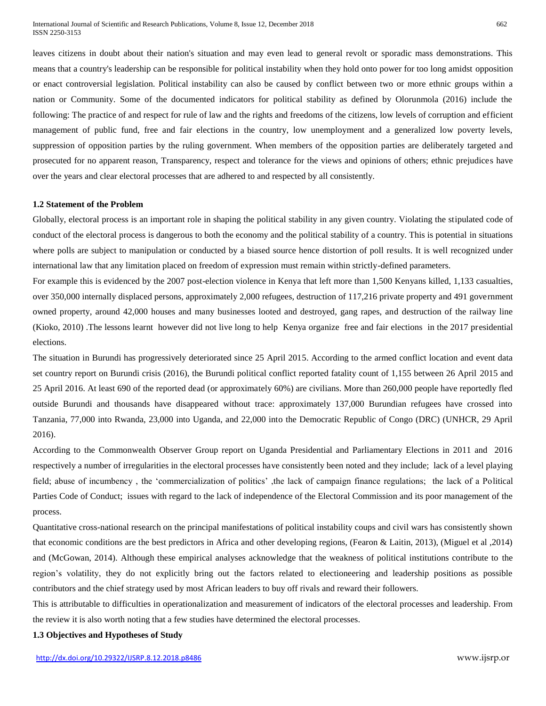leaves citizens in doubt about their nation's situation and may even lead to general revolt or sporadic mass demonstrations. This means that a country's leadership can be responsible for political instability when they hold onto power for too long amidst opposition or enact controversial legislation. Political instability can also be caused by conflict between two or more ethnic groups within a nation or Community. Some of the documented indicators for political stability as defined by Olorunmola (2016) include the following: The practice of and respect for rule of law and the rights and freedoms of the citizens, low levels of corruption and efficient management of public fund, free and fair elections in the country, low unemployment and a generalized low poverty levels, suppression of opposition parties by the ruling government. When members of the opposition parties are deliberately targeted and prosecuted for no apparent reason, Transparency, respect and tolerance for the views and opinions of others; ethnic prejudices have over the years and clear electoral processes that are adhered to and respected by all consistently.

#### **1.2 Statement of the Problem**

Globally, electoral process is an important role in shaping the political stability in any given country. Violating the stipulated code of conduct of the electoral process is dangerous to both the economy and the political stability of a country. This is potential in situations where polls are subject to manipulation or conducted by a biased source hence distortion of poll results. It is well recognized under international law that any limitation placed on freedom of expression must remain within strictly-defined parameters.

For example this is evidenced by the 2007 post-election violence in Kenya that left more than 1,500 Kenyans killed, 1,133 casualties, over 350,000 internally displaced persons, approximately 2,000 refugees, destruction of 117,216 private property and 491 government owned property, around 42,000 houses and many businesses looted and destroyed, gang rapes, and destruction of the railway line (Kioko, 2010) .The lessons learnt however did not live long to help Kenya organize free and fair elections in the 2017 presidential elections.

The situation in Burundi has progressively deteriorated since 25 April 2015. According to the armed conflict location and event data set country report on Burundi crisis (2016), the Burundi political conflict reported fatality count of 1,155 between 26 April 2015 and 25 April 2016. At least 690 of the reported dead (or approximately 60%) are civilians. More than 260,000 people have reportedly fled outside Burundi and thousands have disappeared without trace: approximately 137,000 Burundian refugees have crossed into Tanzania, 77,000 into Rwanda, 23,000 into Uganda, and 22,000 into the Democratic Republic of Congo (DRC) (UNHCR, 29 April 2016).

According to the Commonwealth Observer Group report on Uganda Presidential and Parliamentary Elections in 2011 and 2016 respectively a number of irregularities in the electoral processes have consistently been noted and they include; lack of a level playing field; abuse of incumbency , the 'commercialization of politics' ,the lack of campaign finance regulations; the lack of a Political Parties Code of Conduct; issues with regard to the lack of independence of the Electoral Commission and its poor management of the process.

Quantitative cross-national research on the principal manifestations of political instability coups and civil wars has consistently shown that economic conditions are the best predictors in Africa and other developing regions, (Fearon & Laitin, 2013), (Miguel et al ,2014) and (McGowan, 2014). Although these empirical analyses acknowledge that the weakness of political institutions contribute to the region's volatility, they do not explicitly bring out the factors related to electioneering and leadership positions as possible contributors and the chief strategy used by most African leaders to buy off rivals and reward their followers.

This is attributable to difficulties in operationalization and measurement of indicators of the electoral processes and leadership. From the review it is also worth noting that a few studies have determined the electoral processes.

#### **1.3 Objectives and Hypotheses of Study**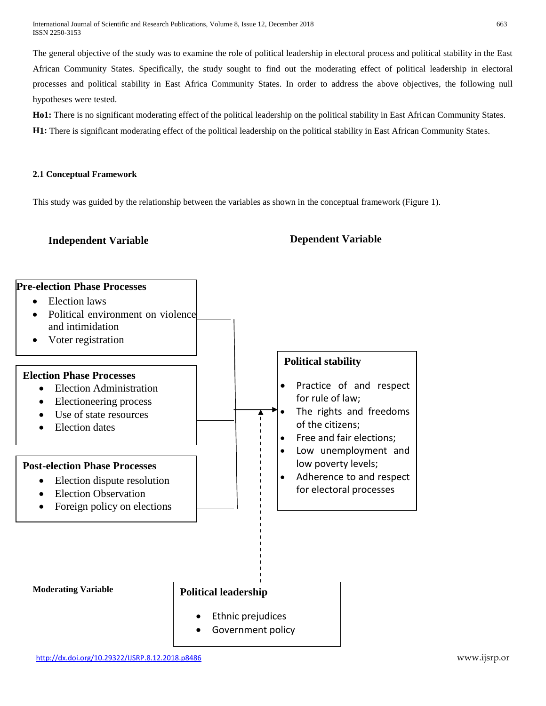International Journal of Scientific and Research Publications, Volume 8, Issue 12, December 2018 663 ISSN 2250-3153

The general objective of the study was to examine the role of political leadership in electoral process and political stability in the East African Community States. Specifically, the study sought to find out the moderating effect of political leadership in electoral processes and political stability in East Africa Community States. In order to address the above objectives, the following null hypotheses were tested.

**Ho1:** There is no significant moderating effect of the political leadership on the political stability in East African Community States. **H1:** There is significant moderating effect of the political leadership on the political stability in East African Community States.

# **2.1 Conceptual Framework**

This study was guided by the relationship between the variables as shown in the conceptual framework (Figure 1).

# **Independent Variable Dependent Variable**

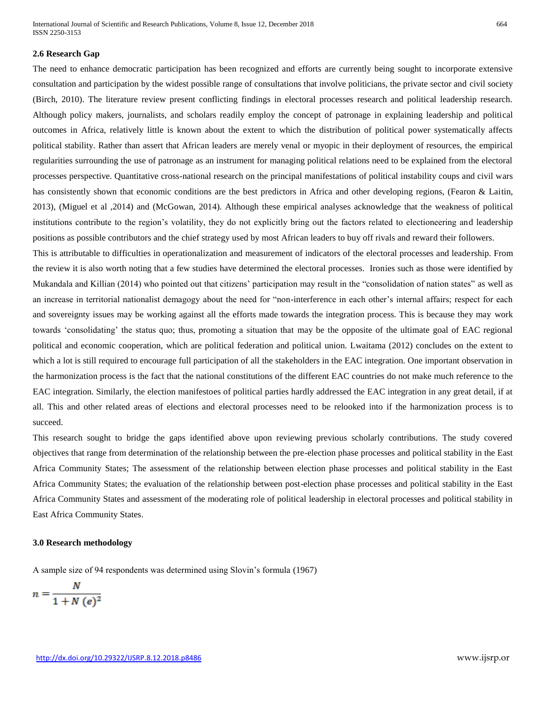International Journal of Scientific and Research Publications, Volume 8, Issue 12, December 2018 664 ISSN 2250-3153

#### **2.6 Research Gap**

The need to enhance democratic participation has been recognized and efforts are currently being sought to incorporate extensive consultation and participation by the widest possible range of consultations that involve politicians, the private sector and civil society (Birch, 2010). The literature review present conflicting findings in electoral processes research and political leadership research. Although policy makers, journalists, and scholars readily employ the concept of patronage in explaining leadership and political outcomes in Africa, relatively little is known about the extent to which the distribution of political power systematically affects political stability. Rather than assert that African leaders are merely venal or myopic in their deployment of resources, the empirical regularities surrounding the use of patronage as an instrument for managing political relations need to be explained from the electoral processes perspective. Quantitative cross-national research on the principal manifestations of political instability coups and civil wars has consistently shown that economic conditions are the best predictors in Africa and other developing regions, (Fearon & Laitin, 2013), (Miguel et al ,2014) and (McGowan, 2014). Although these empirical analyses acknowledge that the weakness of political institutions contribute to the region's volatility, they do not explicitly bring out the factors related to electioneering and leadership positions as possible contributors and the chief strategy used by most African leaders to buy off rivals and reward their followers.

This is attributable to difficulties in operationalization and measurement of indicators of the electoral processes and leadership. From the review it is also worth noting that a few studies have determined the electoral processes. Ironies such as those were identified by Mukandala and Killian (2014) who pointed out that citizens' participation may result in the "consolidation of nation states" as well as an increase in territorial nationalist demagogy about the need for "non-interference in each other's internal affairs; respect for each and sovereignty issues may be working against all the efforts made towards the integration process. This is because they may work towards 'consolidating' the status quo; thus, promoting a situation that may be the opposite of the ultimate goal of EAC regional political and economic cooperation, which are political federation and political union. Lwaitama (2012) concludes on the extent to which a lot is still required to encourage full participation of all the stakeholders in the EAC integration. One important observation in the harmonization process is the fact that the national constitutions of the different EAC countries do not make much reference to the EAC integration. Similarly, the election manifestoes of political parties hardly addressed the EAC integration in any great detail, if at all. This and other related areas of elections and electoral processes need to be relooked into if the harmonization process is to succeed.

This research sought to bridge the gaps identified above upon reviewing previous scholarly contributions. The study covered objectives that range from determination of the relationship between the pre-election phase processes and political stability in the East Africa Community States; The assessment of the relationship between election phase processes and political stability in the East Africa Community States; the evaluation of the relationship between post-election phase processes and political stability in the East Africa Community States and assessment of the moderating role of political leadership in electoral processes and political stability in East Africa Community States.

#### **3.0 Research methodology**

A sample size of 94 respondents was determined using Slovin's formula (1967)

$$
n = \frac{N}{1 + N\left(e\right)^2}
$$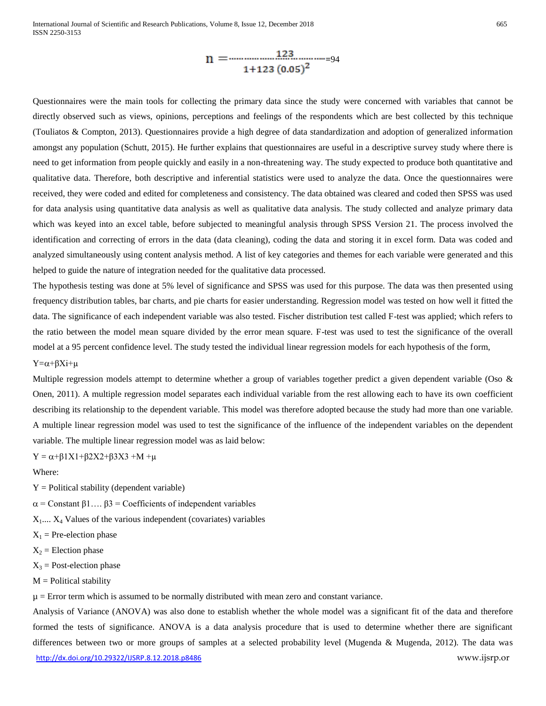$$
n = \frac{123 \dots 123 \dots 123}{1+123 (0.05)^2}
$$

Questionnaires were the main tools for collecting the primary data since the study were concerned with variables that cannot be directly observed such as views, opinions, perceptions and feelings of the respondents which are best collected by this technique (Touliatos & Compton, 2013). Questionnaires provide a high degree of data standardization and adoption of generalized information amongst any population (Schutt, 2015). He further explains that questionnaires are useful in a descriptive survey study where there is need to get information from people quickly and easily in a non-threatening way. The study expected to produce both quantitative and qualitative data. Therefore, both descriptive and inferential statistics were used to analyze the data. Once the questionnaires were received, they were coded and edited for completeness and consistency. The data obtained was cleared and coded then SPSS was used for data analysis using quantitative data analysis as well as qualitative data analysis. The study collected and analyze primary data which was keyed into an excel table, before subjected to meaningful analysis through SPSS Version 21. The process involved the identification and correcting of errors in the data (data cleaning), coding the data and storing it in excel form. Data was coded and analyzed simultaneously using content analysis method. A list of key categories and themes for each variable were generated and this helped to guide the nature of integration needed for the qualitative data processed.

The hypothesis testing was done at 5% level of significance and SPSS was used for this purpose. The data was then presented using frequency distribution tables, bar charts, and pie charts for easier understanding. Regression model was tested on how well it fitted the data. The significance of each independent variable was also tested. Fischer distribution test called F-test was applied; which refers to the ratio between the model mean square divided by the error mean square. F-test was used to test the significance of the overall model at a 95 percent confidence level. The study tested the individual linear regression models for each hypothesis of the form,  $Y=\alpha+\beta Xi+\mu$ 

Multiple regression models attempt to determine whether a group of variables together predict a given dependent variable (Oso  $\&$ Onen, 2011). A multiple regression model separates each individual variable from the rest allowing each to have its own coefficient describing its relationship to the dependent variable. This model was therefore adopted because the study had more than one variable. A multiple linear regression model was used to test the significance of the influence of the independent variables on the dependent variable. The multiple linear regression model was as laid below:

 $Y = \alpha + \beta 1X1 + \beta 2X2 + \beta 3X3 + M + \mu$ 

Where:

 $Y =$  Political stability (dependent variable)

 $\alpha$  = Constant  $\beta$ 1...  $\beta$ 3 = Coefficients of independent variables

 $X_1$ ....  $X_4$  Values of the various independent (covariates) variables

 $X_1$  = Pre-election phase

- $X_2$  = Election phase
- $X_3$  = Post-election phase
- $M =$  Political stability

 $\mu$  = Error term which is assumed to be normally distributed with mean zero and constant variance.

<http://dx.doi.org/10.29322/IJSRP.8.12.2018.p8486> www.ijsrp.or Analysis of Variance (ANOVA) was also done to establish whether the whole model was a significant fit of the data and therefore formed the tests of significance. ANOVA is a data analysis procedure that is used to determine whether there are significant differences between two or more groups of samples at a selected probability level (Mugenda & Mugenda, 2012). The data was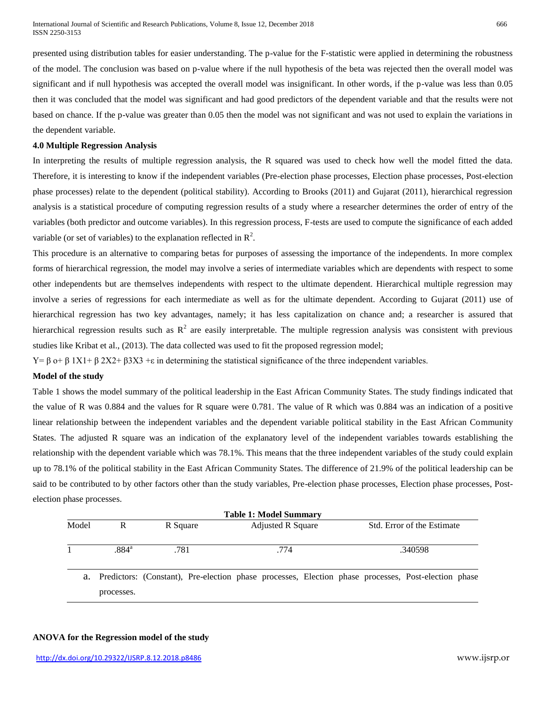presented using distribution tables for easier understanding. The p-value for the F-statistic were applied in determining the robustness of the model. The conclusion was based on p-value where if the null hypothesis of the beta was rejected then the overall model was significant and if null hypothesis was accepted the overall model was insignificant. In other words, if the p-value was less than 0.05 then it was concluded that the model was significant and had good predictors of the dependent variable and that the results were not based on chance. If the p-value was greater than 0.05 then the model was not significant and was not used to explain the variations in the dependent variable.

#### **4.0 Multiple Regression Analysis**

In interpreting the results of multiple regression analysis, the R squared was used to check how well the model fitted the data. Therefore, it is interesting to know if the independent variables (Pre-election phase processes, Election phase processes, Post-election phase processes) relate to the dependent (political stability). According to Brooks (2011) and Gujarat (2011), hierarchical regression analysis is a statistical procedure of computing regression results of a study where a researcher determines the order of entry of the variables (both predictor and outcome variables). In this regression process, F-tests are used to compute the significance of each added variable (or set of variables) to the explanation reflected in  $\mathbb{R}^2$ .

This procedure is an alternative to comparing betas for purposes of assessing the importance of the independents. In more complex forms of hierarchical regression, the model may involve a series of intermediate variables which are dependents with respect to some other independents but are themselves independents with respect to the ultimate dependent. Hierarchical multiple regression may involve a series of regressions for each intermediate as well as for the ultimate dependent. According to Gujarat (2011) use of hierarchical regression has two key advantages, namely; it has less capitalization on chance and; a researcher is assured that hierarchical regression results such as  $R^2$  are easily interpretable. The multiple regression analysis was consistent with previous studies like Kribat et al., (2013). The data collected was used to fit the proposed regression model;

Y= β o+ β 1X1+ β 2X2+ β3X3 +ε in determining the statistical significance of the three independent variables.

#### **Model of the study**

Table 1 shows the model summary of the political leadership in the East African Community States. The study findings indicated that the value of R was 0.884 and the values for R square were 0.781. The value of R which was 0.884 was an indication of a positive linear relationship between the independent variables and the dependent variable political stability in the East African Community States. The adjusted R square was an indication of the explanatory level of the independent variables towards establishing the relationship with the dependent variable which was 78.1%. This means that the three independent variables of the study could explain up to 78.1% of the political stability in the East African Community States. The difference of 21.9% of the political leadership can be said to be contributed to by other factors other than the study variables, Pre-election phase processes, Election phase processes, Postelection phase processes.

| <b>Table 1: Model Summary</b> |                     |                  |  |                                  |  |  |                                       |  |                                                                                                        |  |
|-------------------------------|---------------------|------------------|--|----------------------------------|--|--|---------------------------------------|--|--------------------------------------------------------------------------------------------------------|--|
| Model                         | R                   | R Square<br>.781 |  | <b>Adjusted R Square</b><br>.774 |  |  | Std. Error of the Estimate<br>.340598 |  |                                                                                                        |  |
|                               | $.884$ <sup>a</sup> |                  |  |                                  |  |  |                                       |  |                                                                                                        |  |
|                               |                     |                  |  |                                  |  |  |                                       |  | a. Predictors: (Constant), Pre-election phase processes, Election phase processes, Post-election phase |  |
|                               | processes.          |                  |  |                                  |  |  |                                       |  |                                                                                                        |  |

### **ANOVA for the Regression model of the study**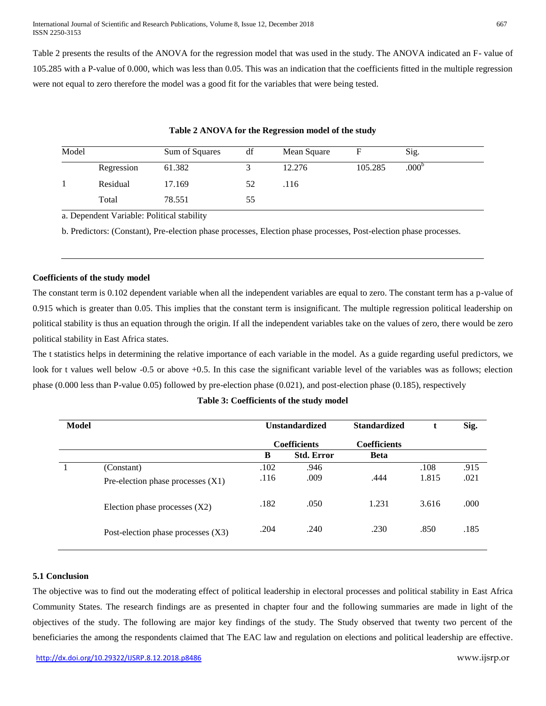Table 2 presents the results of the ANOVA for the regression model that was used in the study. The ANOVA indicated an F- value of 105.285 with a P-value of 0.000, which was less than 0.05. This was an indication that the coefficients fitted in the multiple regression were not equal to zero therefore the model was a good fit for the variables that were being tested.

| Model |            | Sum of Squares | df | Mean Square | F       | Sig.           |  |
|-------|------------|----------------|----|-------------|---------|----------------|--|
|       | Regression | 61.382         |    | 12.276      | 105.285 | $.000^{\circ}$ |  |
|       | Residual   | 17.169         | 52 | .116        |         |                |  |
|       | Total      | 78.551         | 55 |             |         |                |  |

#### **Table 2 ANOVA for the Regression model of the study**

a. Dependent Variable: Political stability

b. Predictors: (Constant), Pre-election phase processes, Election phase processes, Post-election phase processes.

# **Coefficients of the study model**

The constant term is 0.102 dependent variable when all the independent variables are equal to zero. The constant term has a p-value of 0.915 which is greater than 0.05. This implies that the constant term is insignificant. The multiple regression political leadership on political stability is thus an equation through the origin. If all the independent variables take on the values of zero, there would be zero political stability in East Africa states.

The t statistics helps in determining the relative importance of each variable in the model. As a guide regarding useful predictors, we look for t values well below -0.5 or above +0.5. In this case the significant variable level of the variables was as follows; election phase (0.000 less than P-value 0.05) followed by pre-election phase (0.021), and post-election phase (0.185), respectively

#### **Table 3: Coefficients of the study model**

| <b>Model</b>                         |      |                   | <b>Standardized</b>                          |       | Sig. |
|--------------------------------------|------|-------------------|----------------------------------------------|-------|------|
|                                      |      |                   | <b>Coefficients</b>                          |       |      |
|                                      | B    | <b>Std. Error</b> | <b>Beta</b>                                  |       |      |
| (Constant)                           | .102 | .946              |                                              | .108  | .915 |
| Pre-election phase processes $(X1)$  | .116 | .009              | .444                                         | 1.815 | .021 |
| Election phase processes $(X2)$      | .182 | .050              | 1.231                                        | 3.616 | .000 |
| Post-election phase processes $(X3)$ | .204 | .240              | .230                                         | .850  | .185 |
|                                      |      |                   | <b>Unstandardized</b><br><b>Coefficients</b> |       |      |

## **5.1 Conclusion**

The objective was to find out the moderating effect of political leadership in electoral processes and political stability in East Africa Community States. The research findings are as presented in chapter four and the following summaries are made in light of the objectives of the study. The following are major key findings of the study. The Study observed that twenty two percent of the beneficiaries the among the respondents claimed that The EAC law and regulation on elections and political leadership are effective.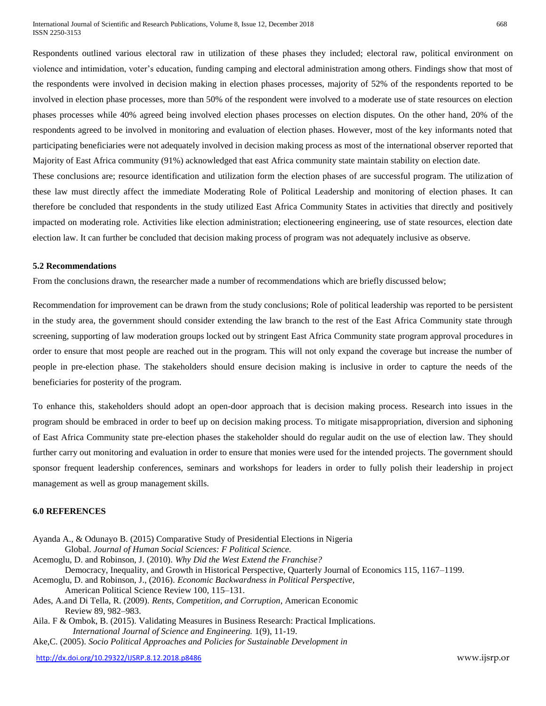Respondents outlined various electoral raw in utilization of these phases they included; electoral raw, political environment on violence and intimidation, voter's education, funding camping and electoral administration among others. Findings show that most of the respondents were involved in decision making in election phases processes, majority of 52% of the respondents reported to be involved in election phase processes, more than 50% of the respondent were involved to a moderate use of state resources on election phases processes while 40% agreed being involved election phases processes on election disputes. On the other hand, 20% of the respondents agreed to be involved in monitoring and evaluation of election phases. However, most of the key informants noted that participating beneficiaries were not adequately involved in decision making process as most of the international observer reported that Majority of East Africa community (91%) acknowledged that east Africa community state maintain stability on election date.

These conclusions are; resource identification and utilization form the election phases of are successful program. The utilization of these law must directly affect the immediate Moderating Role of Political Leadership and monitoring of election phases. It can therefore be concluded that respondents in the study utilized East Africa Community States in activities that directly and positively impacted on moderating role. Activities like election administration; electioneering engineering, use of state resources, election date election law. It can further be concluded that decision making process of program was not adequately inclusive as observe.

#### **5.2 Recommendations**

From the conclusions drawn, the researcher made a number of recommendations which are briefly discussed below;

Recommendation for improvement can be drawn from the study conclusions; Role of political leadership was reported to be persistent in the study area, the government should consider extending the law branch to the rest of the East Africa Community state through screening, supporting of law moderation groups locked out by stringent East Africa Community state program approval procedures in order to ensure that most people are reached out in the program. This will not only expand the coverage but increase the number of people in pre-election phase. The stakeholders should ensure decision making is inclusive in order to capture the needs of the beneficiaries for posterity of the program.

To enhance this, stakeholders should adopt an open-door approach that is decision making process. Research into issues in the program should be embraced in order to beef up on decision making process. To mitigate misappropriation, diversion and siphoning of East Africa Community state pre-election phases the stakeholder should do regular audit on the use of election law. They should further carry out monitoring and evaluation in order to ensure that monies were used for the intended projects. The government should sponsor frequent leadership conferences, seminars and workshops for leaders in order to fully polish their leadership in project management as well as group management skills.

# **6.0 REFERENCES**

Ayanda A., & Odunayo B. (2015) Comparative Study of Presidential Elections in Nigeria Global. *Journal of Human Social Sciences: F Political Science.* Acemoglu, D. and Robinson, J. (2010). *Why Did the West Extend the Franchise?* Democracy, Inequality, and Growth in Historical Perspective, Quarterly Journal of Economics 115, 1167–1199. Acemoglu, D. and Robinson, J., (2016). *Economic Backwardness in Political Perspective,* American Political Science Review 100, 115–131. Ades, A.and Di Tella, R. (2009). *Rents, Competition, and Corruption*, American Economic Review 89, 982–983. Aila. F & Ombok, B. (2015). Validating Measures in Business Research: Practical Implications. *International Journal of Science and Engineering.* 1(9), 11-19. Ake,C. (2005). *Socio Political Approaches and Policies for Sustainable Development in*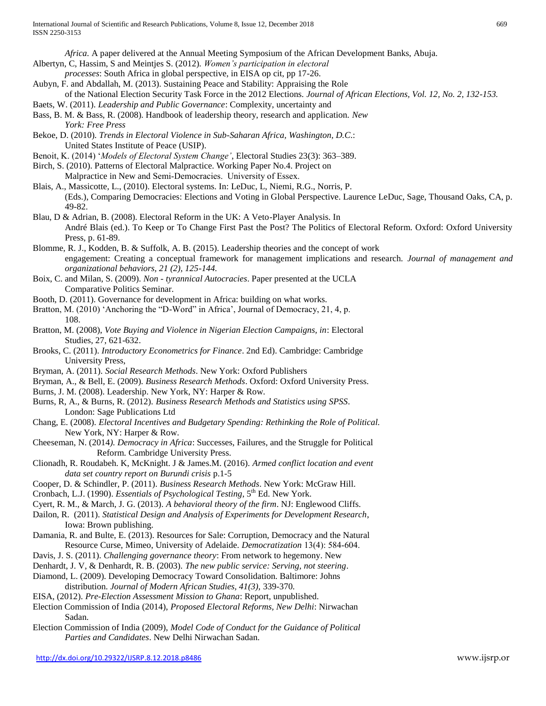*Africa.* A paper delivered at the Annual Meeting Symposium of the African Development Banks, Abuja.

- Albertyn, C, Hassim, S and Meintjes S. (2012). *Women's participation in electoral*
- *processes*: South Africa in global perspective, in EISA op cit, pp 17-26.
- Aubyn, F. and Abdallah, M. (2013). Sustaining Peace and Stability: Appraising the Role
- of the National Election Security Task Force in the 2012 Elections. *Journal of African Elections, Vol. 12, No. 2, 132-153.* Baets, W. (2011). *Leadership and Public Governance*: Complexity, uncertainty and
- Bass, B. M. & Bass, R. (2008). Handbook of leadership theory, research and application. *New York: Free Press*
- Bekoe, D. (2010). *Trends in Electoral Violence in Sub-Saharan Africa, Washington, D.C*.: United States Institute of Peace (USIP).
- Benoit, K. (2014) '*Models of Electoral System Change'*, Electoral Studies 23(3): 363–389.
- Birch, S. (2010). Patterns of Electoral Malpractice. Working Paper No.4. Project on Malpractice in New and Semi‐Democracies. University of Essex.
- Blais, A., Massicotte, L., (2010). Electoral systems. In: LeDuc, L, Niemi, R.G., Norris, P. (Eds.), Comparing Democracies: Elections and Voting in Global Perspective. Laurence LeDuc, Sage, Thousand Oaks, CA, p. 49-82.
- Blau, D & Adrian, B. (2008). Electoral Reform in the UK: A Veto-Player Analysis. In André Blais (ed.). To Keep or To Change First Past the Post? The Politics of Electoral Reform. Oxford: Oxford University Press, p. 61-89.
- Blomme, R. J., Kodden, B. & Suffolk, A. B. (2015). Leadership theories and the concept of work engagement: Creating a conceptual framework for management implications and research. *Journal of management and organizational behaviors, 21 (2), 125-144.*
- Boix, C. and Milan, S. (2009). *Non - tyrannical Autocracies*. Paper presented at the UCLA Comparative Politics Seminar.
- Booth, D. (2011). Governance for development in Africa: building on what works.
- Bratton, M. (2010) 'Anchoring the "D-Word" in Africa', Journal of Democracy, 21, 4, p. 108.
- Bratton, M. (2008), *Vote Buying and Violence in Nigerian Election Campaigns, in*: Electoral Studies, 27, 621-632.
- Brooks, C. (2011). *Introductory Econometrics for Finance*. 2nd Ed). Cambridge: Cambridge University Press,
- Bryman, A. (2011). *Social Research Methods*. New York: Oxford Publishers
- Bryman, A., & Bell, E. (2009). *Business Research Methods*. Oxford: Oxford University Press.
- Burns, J. M. (2008). Leadership. New York, NY: Harper & Row.
- Burns, R, A., & Burns, R. (2012). *Business Research Methods and Statistics using SPSS*. London: Sage Publications Ltd
- Chang, E. (2008). *Electoral Incentives and Budgetary Spending: Rethinking the Role of Political.*  New York, NY: Harper & Row.
- Cheeseman, N. (2014*). Democracy in Africa*: Successes, Failures, and the Struggle for Political Reform. Cambridge University Press.
- Clionadh, R. Roudabeh. K, McKnight. J & James.M. (2016). *Armed conflict location and event data set country report on Burundi crisis* p.1-5
- Cooper, D. & Schindler, P. (2011). *Business Research Methods*. New York: McGraw Hill.
- Cronbach, L.J. (1990). *Essentials of Psychological Testing*, 5<sup>th</sup> Ed. New York.
- Cyert, R. M., & March, J. G. (2013). *A behavioral theory of the firm*. NJ: Englewood Cliffs.
- Dailon, R. (2011). *Statistical Design and Analysis of Experiments for Development Research*, Iowa: Brown publishing.
- Damania, R. and Bulte, E. (2013). Resources for Sale: Corruption, Democracy and the Natural Resource Curse, Mimeo, University of Adelaide. *Democratization* 13(4): 584‐604.
- Davis, J. S. (2011). *Challenging governance theory*: From network to hegemony. New
- Denhardt, J. V, & Denhardt, R. B. (2003). *The new public service: Serving, not steering*.
- Diamond, L. (2009). Developing Democracy Toward Consolidation. Baltimore: Johns distribution. *Journal of Modern African Studies, 41(3),* 339-370*.*
- EISA, (2012). *Pre-Election Assessment Mission to Ghana*: Report, unpublished.
- Election Commission of India (2014), *Proposed Electoral Reforms, New Delhi*: Nirwachan Sadan.
- Election Commission of India (2009), *Model Code of Conduct for the Guidance of Political Parties and Candidates*. New Delhi Nirwachan Sadan.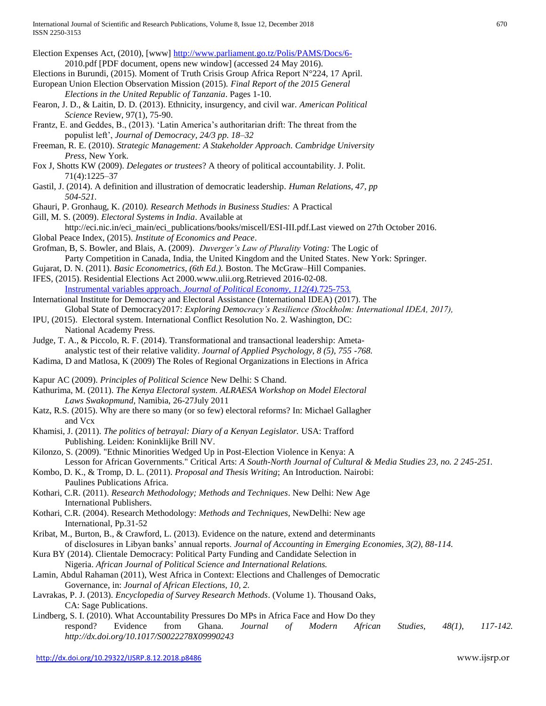| Election Expenses Act, (2010), [www] http://www.parliament.go.tz/Polis/PAMS/Docs/6-                                  |
|----------------------------------------------------------------------------------------------------------------------|
| 2010.pdf [PDF document, opens new window] (accessed 24 May 2016).                                                    |
| Elections in Burundi, (2015). Moment of Truth Crisis Group Africa Report N°224, 17 April.                            |
| European Union Election Observation Mission (2015). Final Report of the 2015 General                                 |
| Elections in the United Republic of Tanzania. Pages 1-10.                                                            |
| Fearon, J. D., & Laitin, D. D. (2013). Ethnicity, insurgency, and civil war. American Political                      |
| Science Review, 97(1), 75-90.                                                                                        |
| Frantz, E. and Geddes, B., (2013). 'Latin America's authoritarian drift: The threat from the                         |
| populist left', Journal of Democracy, 24/3 pp. 18-32                                                                 |
| Freeman, R. E. (2010). Strategic Management: A Stakeholder Approach. Cambridge University                            |
| Press, New York.                                                                                                     |
| Fox J, Shotts KW (2009). <i>Delegates or trustees</i> ? A theory of political accountability. J. Polit.              |
| $71(4):1225-37$                                                                                                      |
| Gastil, J. (2014). A definition and illustration of democratic leadership. Human Relations, 47, pp                   |
| 504-521.                                                                                                             |
| Ghauri, P. Gronhaug, K. (2010). Research Methods in Business Studies: A Practical                                    |
| Gill, M. S. (2009). Electoral Systems in India. Available at                                                         |
| http://eci.nic.in/eci_main/eci_publications/books/miscell/ESI-III.pdf.Last viewed on 27th October 2016.              |
| Global Peace Index, (2015). Institute of Economics and Peace.                                                        |
| Grofman, B, S. Bowler, and Blais, A. (2009). Duverger's Law of Plurality Voting: The Logic of                        |
| Party Competition in Canada, India, the United Kingdom and the United States. New York: Springer.                    |
| Gujarat, D. N. (2011). Basic Econometrics, (6th Ed.). Boston. The McGraw-Hill Companies.                             |
| IFES, (2015). Residential Elections Act 2000.www.ulii.org.Retrieved 2016-02-08.                                      |
| Instrumental variables approach. Journal of Political Economy, 112(4).725-753.                                       |
| International Institute for Democracy and Electoral Assistance (International IDEA) (2017). The                      |
| Global State of Democracy2017: Exploring Democracy's Resilience (Stockholm: International IDEA, 2017),               |
| IPU, (2015). Electoral system. International Conflict Resolution No. 2. Washington, DC:                              |
| National Academy Press.                                                                                              |
| Judge, T. A., & Piccolo, R. F. (2014). Transformational and transactional leadership: Ameta-                         |
| analystic test of their relative validity. Journal of Applied Psychology, 8 (5), 755 -768.                           |
| Kadima, D and Matlosa, K (2009) The Roles of Regional Organizations in Elections in Africa                           |
|                                                                                                                      |
| Kapur AC (2009). Principles of Political Science New Delhi: S Chand.                                                 |
| Kathurima, M. (2011). The Kenya Electoral system. ALRAESA Workshop on Model Electoral                                |
| Laws Swakopmund, Namibia, 26-27July 2011                                                                             |
| Katz, R.S. (2015). Why are there so many (or so few) electoral reforms? In: Michael Gallagher                        |
| and Vcx                                                                                                              |
| Khamisi, J. (2011). The politics of betrayal: Diary of a Kenyan Legislator. USA: Trafford                            |
| Publishing. Leiden: Koninklijke Brill NV.                                                                            |
| Kilonzo, S. (2009). "Ethnic Minorities Wedged Up in Post-Election Violence in Kenya: A                               |
| Lesson for African Governments." Critical Arts: A South-North Journal of Cultural & Media Studies 23, no. 2 245-251. |
| Kombo, D. K., & Tromp, D. L. (2011). Proposal and Thesis Writing; An Introduction. Nairobi:                          |
| Paulines Publications Africa.                                                                                        |
| Kothari, C.R. (2011). Research Methodology; Methods and Techniques. New Delhi: New Age                               |
| International Publishers.                                                                                            |
| Kothari, C.R. (2004). Research Methodology: Methods and Techniques, NewDelhi: New age                                |
| International, Pp.31-52                                                                                              |
| Kribat, M., Burton, B., & Crawford, L. (2013). Evidence on the nature, extend and determinants                       |
| of disclosures in Libyan banks' annual reports. Journal of Accounting in Emerging Economies, 3(2), 88-114.           |
| Kura BY (2014). Clientale Democracy: Political Party Funding and Candidate Selection in                              |
| Nigeria. African Journal of Political Science and International Relations.                                           |
| Lamin, Abdul Rahaman (2011), West Africa in Context: Elections and Challenges of Democratic                          |
| Governance, in: Journal of African Elections, 10, 2.                                                                 |
| Lavrakas, P. J. (2013). Encyclopedia of Survey Research Methods. (Volume 1). Thousand Oaks,                          |
| CA: Sage Publications.                                                                                               |
| Lindberg, S. I. (2010). What Accountability Pressures Do MPs in Africa Face and How Do they                          |
| respond?<br>Evidence<br>from<br>Ghana.<br>$48(1)$ ,<br>117-142.<br>Journal<br>Modern<br>African<br>Studies,<br>of    |
| http://dx.doi.org/10.1017/S0022278X09990243                                                                          |
|                                                                                                                      |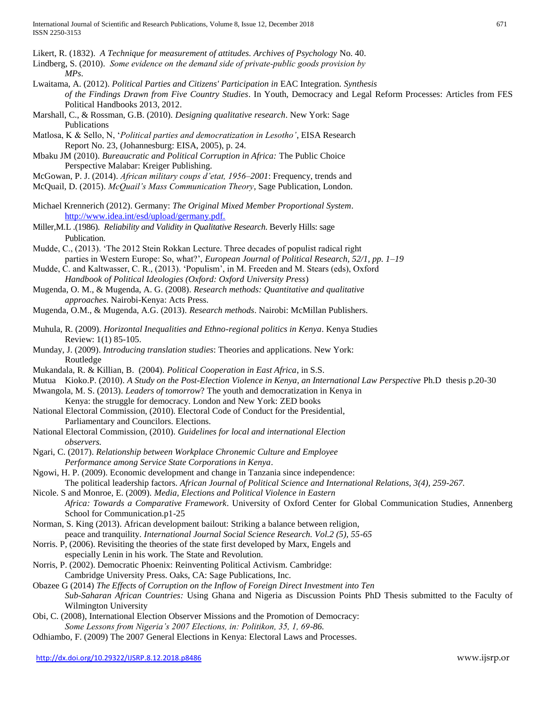Likert, R. (1832). *A Technique for measurement of attitudes. Archives of Psychology* No. 40.

Lindberg, S. (2010). *Some evidence on the demand side of private‐public goods provision by* 

*MPs*.

- Lwaitama, A. (2012). *Political Parties and Citizens' Participation in* EAC Integration*. Synthesis of the Findings Drawn from Five Country Studies*. In Youth, Democracy and Legal Reform Processes: Articles from FES Political Handbooks 2013, 2012.
- Marshall, C., & Rossman, G.B. (2010). *Designing qualitative research*. New York: Sage Publications
- Matlosa, K & Sello, N, '*Political parties and democratization in Lesotho'*, EISA Research Report No. 23, (Johannesburg: EISA, 2005), p. 24.
- Mbaku JM (2010). *Bureaucratic and Political Corruption in Africa:* The Public Choice Perspective Malabar: Kreiger Publishing.
- McGowan, P. J. (2014). *African military coups d'etat, 1956–2001*: Frequency, trends and
- McQuail, D. (2015). *McQuail's Mass Communication Theory*, Sage Publication, London.
- Michael Krennerich (2012). Germany: *The Original Mixed Member Proportional System*. [http://www.idea.int/esd/upload/germany.pdf.](http://www.idea.int/esd/upload/germany.pdf)
- Miller,M.L .(1986). *Reliability and Validity in Qualitative Research*. Beverly Hills: sage Publication.
- Mudde, C., (2013). 'The 2012 Stein Rokkan Lecture. Three decades of populist radical right parties in Western Europe: So, what?', *European Journal of Political Research, 52/1, pp. 1–19*
- Mudde, C. and Kaltwasser, C. R., (2013). 'Populism', in M. Freeden and M. Stears (eds), Oxford *Handbook of Political Ideologies (Oxford: Oxford University Press*)
- Mugenda, O. M., & Mugenda, A. G. (2008). *Research methods: Quantitative and qualitative approaches*. Nairobi-Kenya: Acts Press.
- Mugenda, O.M., & Mugenda, A.G. (2013). *Research methods*. Nairobi: McMillan Publishers.
- Muhula, R. (2009). *Horizontal Inequalities and Ethno-regional politics in Kenya*. Kenya Studies Review: 1(1) 85-105.
- Munday, J. (2009). *Introducing translation studies*: Theories and applications. New York: Routledge
- Mukandala, R. & Killian, B. (2004). *Political Cooperation in East Africa*, in S.S.
- Mutua Kioko.P. (2010). *A Study on the Post-Election Violence in Kenya, an International Law Perspective* Ph.D thesis p.20-30
- Mwangola, M. S. (2013). *Leaders of tomorrow*? The youth and democratization in Kenya in Kenya: the struggle for democracy. London and New York: ZED books
- National Electoral Commission, (2010). Electoral Code of Conduct for the Presidential, Parliamentary and Councilors. Elections.
- National Electoral Commission, (2010). *Guidelines for local and international Election observers.*
- Ngari, C. (2017). *Relationship between Workplace Chronemic Culture and Employee Performance among Service State Corporations in Kenya*.
- Ngowi, H. P. (2009). Economic development and change in Tanzania since independence: The political leadership factors. *African Journal of Political Science and International Relations, 3(4), 259-267.*
- Nicole. S and Monroe, E. (2009). *Media, Elections and Political Violence in Eastern Africa: Towards a Comparative Framework*. University of Oxford Center for Global Communication Studies, Annenberg School for Communication.p1-25
- Norman, S. King (2013). African development bailout: Striking a balance between religion, peace and tranquility. *International Journal Social Science Research. Vol.2 (5), 55-65*
- Norris. P, (2006). Revisiting the theories of the state first developed by Marx, Engels and especially Lenin in his work. The State and Revolution.
- Norris, P. (2002). Democratic Phoenix: Reinventing Political Activism. Cambridge: Cambridge University Press. Oaks, CA: Sage Publications, Inc.
- Obazee G (2014) *The Effects of Corruption on the Inflow of Foreign Direct Investment into Ten Sub-Saharan African Countries:* Using Ghana and Nigeria as Discussion Points PhD Thesis submitted to the Faculty of Wilmington University
- Obi, C. (2008), International Election Observer Missions and the Promotion of Democracy: *Some Lessons from Nigeria's 2007 Elections, in: Politikon, 35, 1, 69-86.*
- Odhiambo, F. (2009) The 2007 General Elections in Kenya: Electoral Laws and Processes.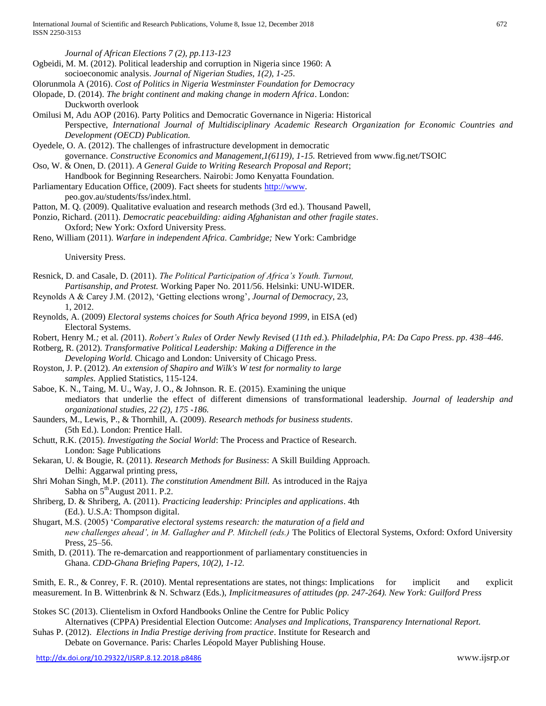Ogbeidi, M. M. (2012). Political leadership and corruption in Nigeria since 1960: A socioeconomic analysis. *Journal of Nigerian Studies, 1(2), 1-25*.

*Journal of African Elections 7 (2), pp.113-123*

<http://dx.doi.org/10.29322/IJSRP.8.12.2018.p8486> www.ijsrp.or Olorunmola A (2016). *Cost of Politics in Nigeria Westminster Foundation for Democracy* Olopade, D. (2014). *The bright continent and making change in modern Africa*. London: Duckworth overlook Omilusi M, Adu AOP (2016). Party Politics and Democratic Governance in Nigeria: Historical Perspective, *International Journal of Multidisciplinary Academic Research Organization for Economic Countries and Development (OECD) Publication.* Oyedele, O. A. (2012). The challenges of infrastructure development in democratic governance. *Constructive Economics and Management,1(6119), 1-15.* Retrieved from www.fig.net/TSOIC Oso, W. & Onen, D. (2011). *A General Guide to Writing Research Proposal and Report*; Handbook for Beginning Researchers. Nairobi: Jomo Kenyatta Foundation. Parliamentary Education Office, (2009). Fact sheets for students [http://www.](http://www/) peo.gov.au/students/fss/index.html. Patton, M. Q. (2009). Qualitative evaluation and research methods (3rd ed.). Thousand Pawell, Ponzio, Richard. (2011). *Democratic peacebuilding: aiding Afghanistan and other fragile states*. Oxford; New York: Oxford University Press. Reno, William (2011). *Warfare in independent Africa. Cambridge;* New York: Cambridge University Press. Resnick, D. and Casale, D. (2011). *The Political Participation of Africa's Youth. Turnout, Partisanship, and Protest.* Working Paper No. 2011/56. Helsinki: UNU-WIDER. Reynolds A & Carey J.M. (2012), 'Getting elections wrong'*, Journal of Democracy*, 23, 1, 2012. Reynolds, A. (2009) *Electoral systems choices for South Africa beyond 1999*, in EISA (ed) Electoral Systems. Robert*,* Henry M*.;* et al*. (*2011). *Robert's Rules* of *Order Newly Revised* (*11th ed*.). *Philadelphia*, *PA*: *Da Capo Press*. *pp*. *438*–*446*. Rotberg, R. (2012). *Transformative Political Leadership: Making a Difference in the Developing World.* Chicago and London: University of Chicago Press. Royston, J. P. (2012). *An extension of Shapiro and Wilk's W test for normality to large samples*. Applied Statistics, 115-124. Saboe, K. N., Taing, M. U., Way, J. O., & Johnson. R. E. (2015). Examining the unique mediators that underlie the effect of different dimensions of transformational leadership. *Journal of leadership and organizational studies, 22 (2), 175 -186.* Saunders, M., Lewis, P., & Thornhill, A. (2009). *Research methods for business students*. (5th Ed.). London: Prentice Hall. Schutt, R.K. (2015). *Investigating the Social World*: The Process and Practice of Research. London: Sage Publications Sekaran, U. & Bougie, R. (2011). *Research Methods for Business*: A Skill Building Approach. Delhi: Aggarwal printing press, Shri Mohan Singh, M.P. (2011). *The constitution Amendment Bill.* As introduced in the Rajya Sabha on  $5<sup>th</sup>$ August 2011. P.2. Shriberg, D. & Shriberg, A. (2011). *Practicing leadership: Principles and applications*. 4th (Ed.). U.S.A: Thompson digital. Shugart, M.S. (2005) '*Comparative electoral systems research: the maturation of a field and new challenges ahead', in M. Gallagher and P. Mitchell (eds.)* The Politics of Electoral Systems, Oxford: Oxford University Press, 25–56. Smith, D. (2011). The re-demarcation and reapportionment of parliamentary constituencies in Ghana. *CDD-Ghana Briefing Papers, 10(2), 1-12.* Smith, E. R., & Conrey, F. R. (2010). Mental representations are states, not things: Implications for implicit and explicit measurement. In B. Wittenbrink & N. Schwarz (Eds.), *Implicitmeasures of attitudes (pp. 247-264). New York: Guilford Press* Stokes SC (2013). Clientelism in Oxford Handbooks Online the Centre for Public Policy Alternatives (CPPA) Presidential Election Outcome: *Analyses and Implications, Transparency International Report.* Suhas P. (2012). *Elections in India Prestige deriving from practice*. Institute for Research and Debate on Governance. Paris: Charles Léopold Mayer Publishing House.